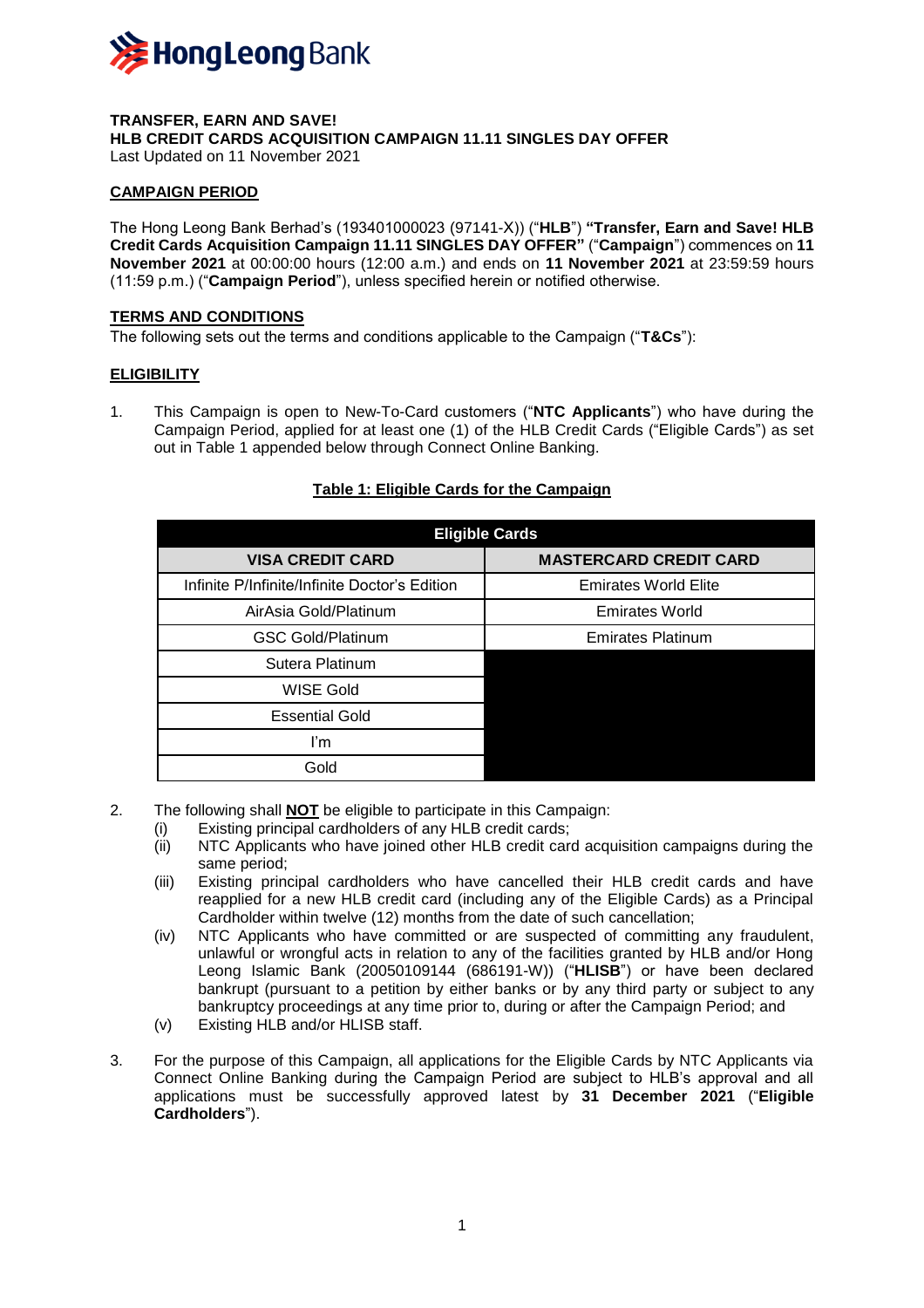

#### **TRANSFER, EARN AND SAVE! HLB CREDIT CARDS ACQUISITION CAMPAIGN 11.11 SINGLES DAY OFFER** Last Updated on 11 November 2021

# **CAMPAIGN PERIOD**

The Hong Leong Bank Berhad's (193401000023 (97141-X)) ("**HLB**") **"Transfer, Earn and Save! HLB Credit Cards Acquisition Campaign 11.11 SINGLES DAY OFFER"** ("**Campaign**") commences on **11 November 2021** at 00:00:00 hours (12:00 a.m.) and ends on **11 November 2021** at 23:59:59 hours (11:59 p.m.) ("**Campaign Period**"), unless specified herein or notified otherwise.

#### **TERMS AND CONDITIONS**

The following sets out the terms and conditions applicable to the Campaign ("**T&Cs**"):

### **ELIGIBILITY**

1. This Campaign is open to New-To-Card customers ("**NTC Applicants**") who have during the Campaign Period, applied for at least one (1) of the HLB Credit Cards ("Eligible Cards") as set out in Table 1 appended below through Connect Online Banking.

| <b>Eligible Cards</b>                         |                               |  |  |  |
|-----------------------------------------------|-------------------------------|--|--|--|
| <b>VISA CREDIT CARD</b>                       | <b>MASTERCARD CREDIT CARD</b> |  |  |  |
| Infinite P/Infinite/Infinite Doctor's Edition | <b>Emirates World Elite</b>   |  |  |  |
| AirAsia Gold/Platinum                         | <b>Emirates World</b>         |  |  |  |
| <b>GSC Gold/Platinum</b>                      | <b>Emirates Platinum</b>      |  |  |  |
| Sutera Platinum                               |                               |  |  |  |
| <b>WISE Gold</b>                              |                               |  |  |  |
| <b>Essential Gold</b>                         |                               |  |  |  |
| ľm                                            |                               |  |  |  |
| Gold                                          |                               |  |  |  |

# **Table 1: Eligible Cards for the Campaign**

- 2. The following shall **NOT** be eligible to participate in this Campaign:
	- (i) Existing principal cardholders of any HLB credit cards;
	- (ii) NTC Applicants who have joined other HLB credit card acquisition campaigns during the same period;
	- (iii) Existing principal cardholders who have cancelled their HLB credit cards and have reapplied for a new HLB credit card (including any of the Eligible Cards) as a Principal Cardholder within twelve (12) months from the date of such cancellation;
	- (iv) NTC Applicants who have committed or are suspected of committing any fraudulent, unlawful or wrongful acts in relation to any of the facilities granted by HLB and/or Hong Leong Islamic Bank (20050109144 (686191-W)) ("**HLISB**") or have been declared bankrupt (pursuant to a petition by either banks or by any third party or subject to any bankruptcy proceedings at any time prior to, during or after the Campaign Period; and
	- (v) Existing HLB and/or HLISB staff.
- 3. For the purpose of this Campaign, all applications for the Eligible Cards by NTC Applicants via Connect Online Banking during the Campaign Period are subject to HLB's approval and all applications must be successfully approved latest by **31 December 2021** ("**Eligible Cardholders**").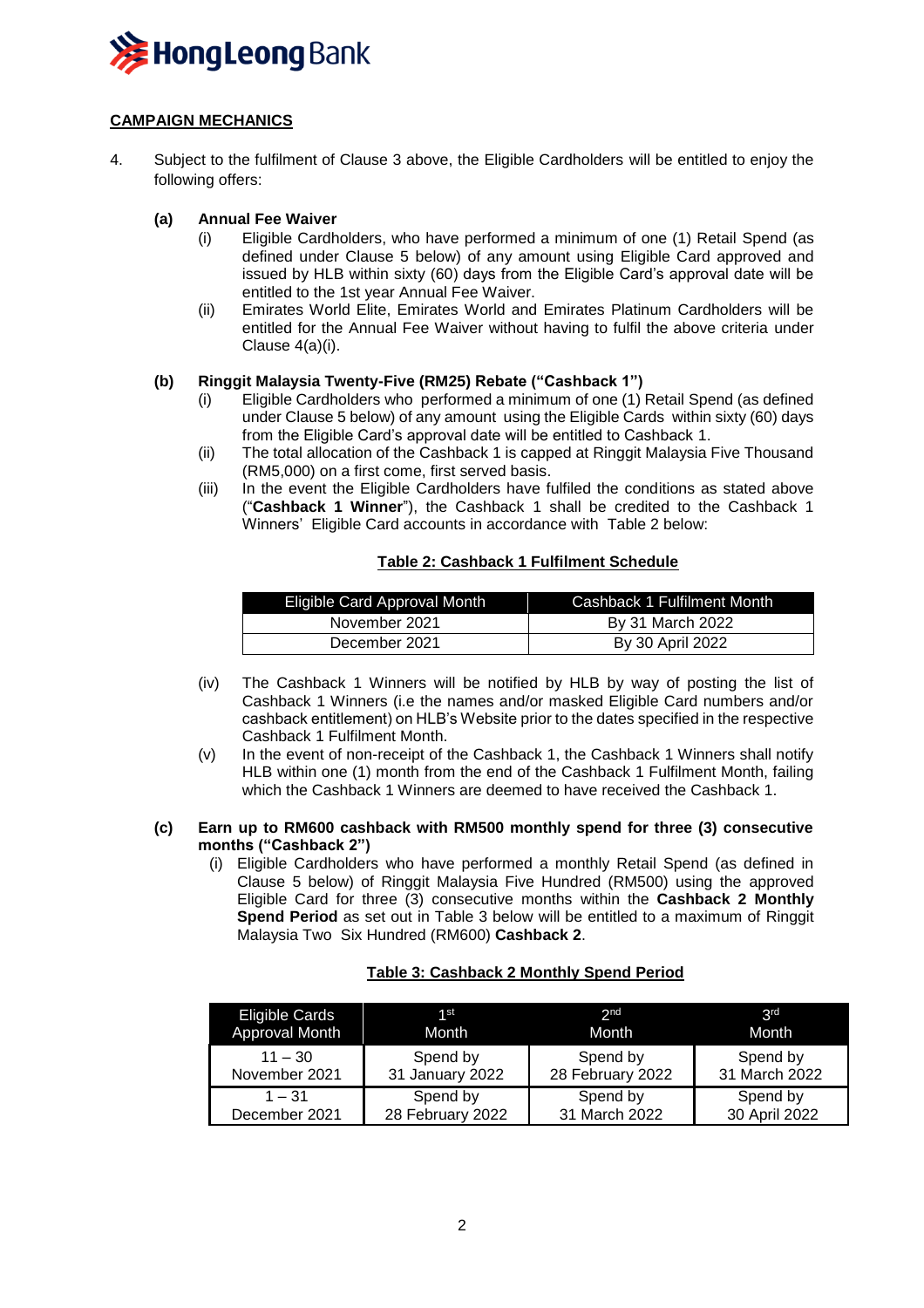

# **CAMPAIGN MECHANICS**

4. Subject to the fulfilment of Clause 3 above, the Eligible Cardholders will be entitled to enjoy the following offers:

### **(a) Annual Fee Waiver**

- (i) Eligible Cardholders, who have performed a minimum of one (1) Retail Spend (as defined under Clause 5 below) of any amount using Eligible Card approved and issued by HLB within sixty (60) days from the Eligible Card's approval date will be entitled to the 1st year Annual Fee Waiver.
- (ii) Emirates World Elite, Emirates World and Emirates Platinum Cardholders will be entitled for the Annual Fee Waiver without having to fulfil the above criteria under Clause 4(a)(i).

### **(b) Ringgit Malaysia Twenty-Five (RM25) Rebate ("Cashback 1")**

- (i) Eligible Cardholders who performed a minimum of one (1) Retail Spend (as defined under Clause 5 below) of any amount using the Eligible Cards within sixty (60) days from the Eligible Card's approval date will be entitled to Cashback 1.
- (ii) The total allocation of the Cashback 1 is capped at Ringgit Malaysia Five Thousand (RM5,000) on a first come, first served basis.
- (iii) In the event the Eligible Cardholders have fulfiled the conditions as stated above ("**Cashback 1 Winner**"), the Cashback 1 shall be credited to the Cashback 1 Winners' Eligible Card accounts in accordance with Table 2 below:

### **Table 2: Cashback 1 Fulfilment Schedule**

| Eligible Card Approval Month | Cashback 1 Fulfilment Month |
|------------------------------|-----------------------------|
| November 2021                | By 31 March 2022            |
| December 2021                | By 30 April 2022            |

- (iv) The Cashback 1 Winners will be notified by HLB by way of posting the list of Cashback 1 Winners (i.e the names and/or masked Eligible Card numbers and/or cashback entitlement) on HLB's Website prior to the dates specified in the respective Cashback 1 Fulfilment Month.
- (v) In the event of non-receipt of the Cashback 1, the Cashback 1 Winners shall notify HLB within one (1) month from the end of the Cashback 1 Fulfilment Month, failing which the Cashback 1 Winners are deemed to have received the Cashback 1.

#### **(c) Earn up to RM600 cashback with RM500 monthly spend for three (3) consecutive months ("Cashback 2")**

(i) Eligible Cardholders who have performed a monthly Retail Spend (as defined in Clause 5 below) of Ringgit Malaysia Five Hundred (RM500) using the approved Eligible Card for three (3) consecutive months within the **Cashback 2 Monthly Spend Period** as set out in Table 3 below will be entitled to a maximum of Ringgit Malaysia Two Six Hundred (RM600) **Cashback 2**.

# **Table 3: Cashback 2 Monthly Spend Period**

| Eligible Cards | 1st              | 2 <sub>nd</sub>  | 2 <sub>rd</sub> |
|----------------|------------------|------------------|-----------------|
| Approval Month | Month            | Month            | Month           |
| $11 - 30$      | Spend by         | Spend by         | Spend by        |
| November 2021  | 31 January 2022  | 28 February 2022 | 31 March 2022   |
| $1 - 31$       | Spend by         | Spend by         | Spend by        |
| December 2021  | 28 February 2022 | 31 March 2022    | 30 April 2022   |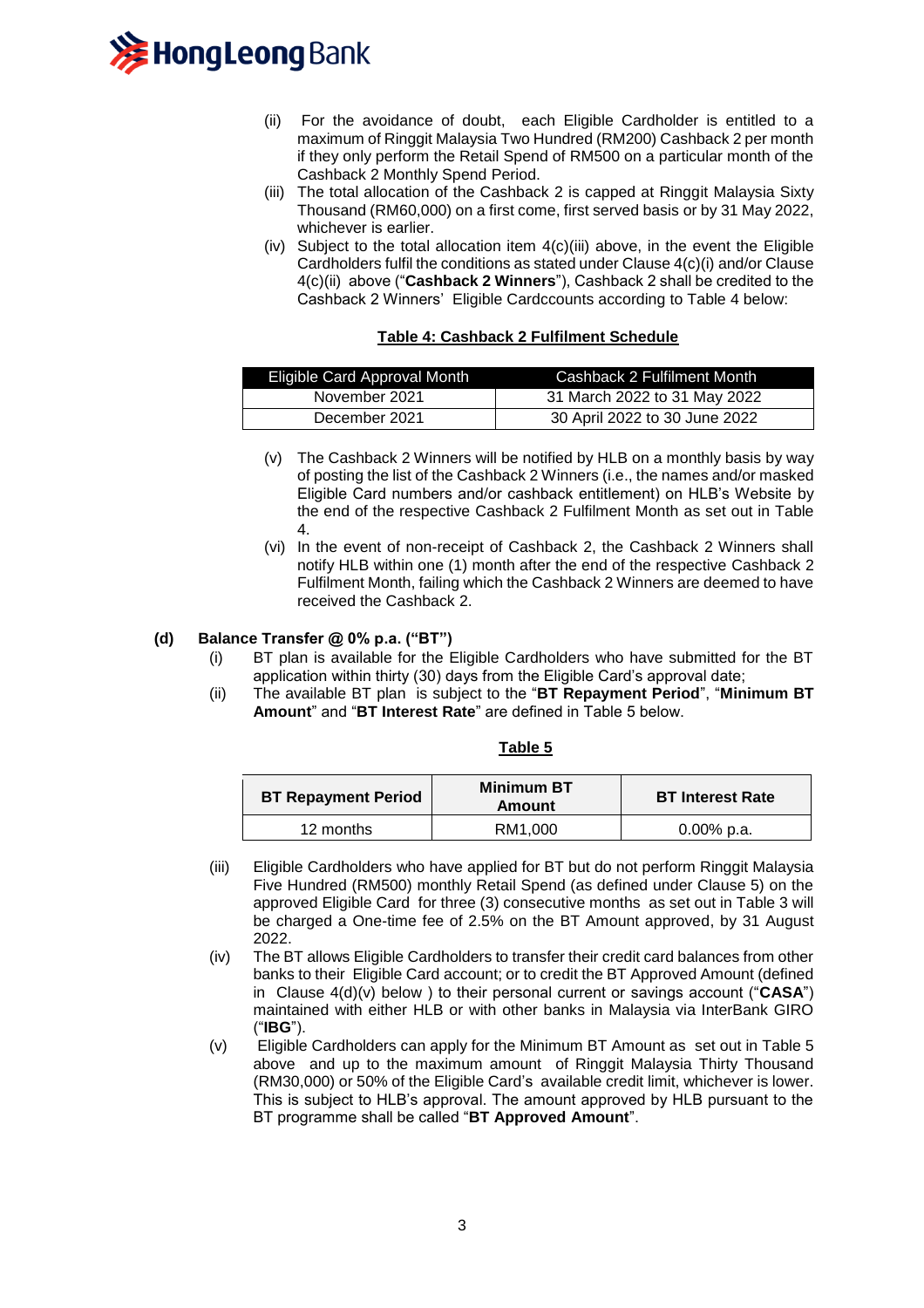

- (ii) For the avoidance of doubt, each Eligible Cardholder is entitled to a maximum of Ringgit Malaysia Two Hundred (RM200) Cashback 2 per month if they only perform the Retail Spend of RM500 on a particular month of the Cashback 2 Monthly Spend Period.
- (iii) The total allocation of the Cashback 2 is capped at Ringgit Malaysia Sixty Thousand (RM60,000) on a first come, first served basis or by 31 May 2022, whichever is earlier.
- (iv) Subject to the total allocation item 4(c)(iii) above, in the event the Eligible Cardholders fulfil the conditions as stated under Clause 4(c)(i) and/or Clause 4(c)(ii) above ("**Cashback 2 Winners**"), Cashback 2 shall be credited to the Cashback 2 Winners' Eligible Cardccounts according to Table 4 below:

### **Table 4: Cashback 2 Fulfilment Schedule**

| Eligible Card Approval Month | Cashback 2 Fulfilment Month   |
|------------------------------|-------------------------------|
| November 2021                | 31 March 2022 to 31 May 2022  |
| December 2021                | 30 April 2022 to 30 June 2022 |

- (v) The Cashback 2 Winners will be notified by HLB on a monthly basis by way of posting the list of the Cashback 2 Winners (i.e., the names and/or masked Eligible Card numbers and/or cashback entitlement) on HLB's Website by the end of the respective Cashback 2 Fulfilment Month as set out in Table 4.
- (vi) In the event of non-receipt of Cashback 2, the Cashback 2 Winners shall notify HLB within one (1) month after the end of the respective Cashback 2 Fulfilment Month, failing which the Cashback 2 Winners are deemed to have received the Cashback 2.

# **(d) Balance Transfer @ 0% p.a. ("BT")**

- (i) BT plan is available for the Eligible Cardholders who have submitted for the BT application within thirty (30) days from the Eligible Card's approval date;
- (ii) The available BT plan is subject to the "**BT Repayment Period**", "**Minimum BT Amount**" and "**BT Interest Rate**" are defined in Table 5 below.

#### **Table 5**

| <b>BT Repayment Period</b> | <b>Minimum BT</b><br>Amount | <b>BT Interest Rate</b> |
|----------------------------|-----------------------------|-------------------------|
| 12 months                  | RM1.000                     | $0.00\%$ p.a.           |

- (iii) Eligible Cardholders who have applied for BT but do not perform Ringgit Malaysia Five Hundred (RM500) monthly Retail Spend (as defined under Clause 5) on the approved Eligible Card for three (3) consecutive months as set out in Table 3 will be charged a One-time fee of 2.5% on the BT Amount approved, by 31 August 2022.
- (iv) The BT allows Eligible Cardholders to transfer their credit card balances from other banks to their Eligible Card account; or to credit the BT Approved Amount (defined in Clause 4(d)(v) below ) to their personal current or savings account ("**CASA**") maintained with either HLB or with other banks in Malaysia via InterBank GIRO ("**IBG**").
- (v) Eligible Cardholders can apply for the Minimum BT Amount as set out in Table 5 above and up to the maximum amount of Ringgit Malaysia Thirty Thousand (RM30,000) or 50% of the Eligible Card's available credit limit, whichever is lower. This is subject to HLB's approval. The amount approved by HLB pursuant to the BT programme shall be called "**BT Approved Amount**".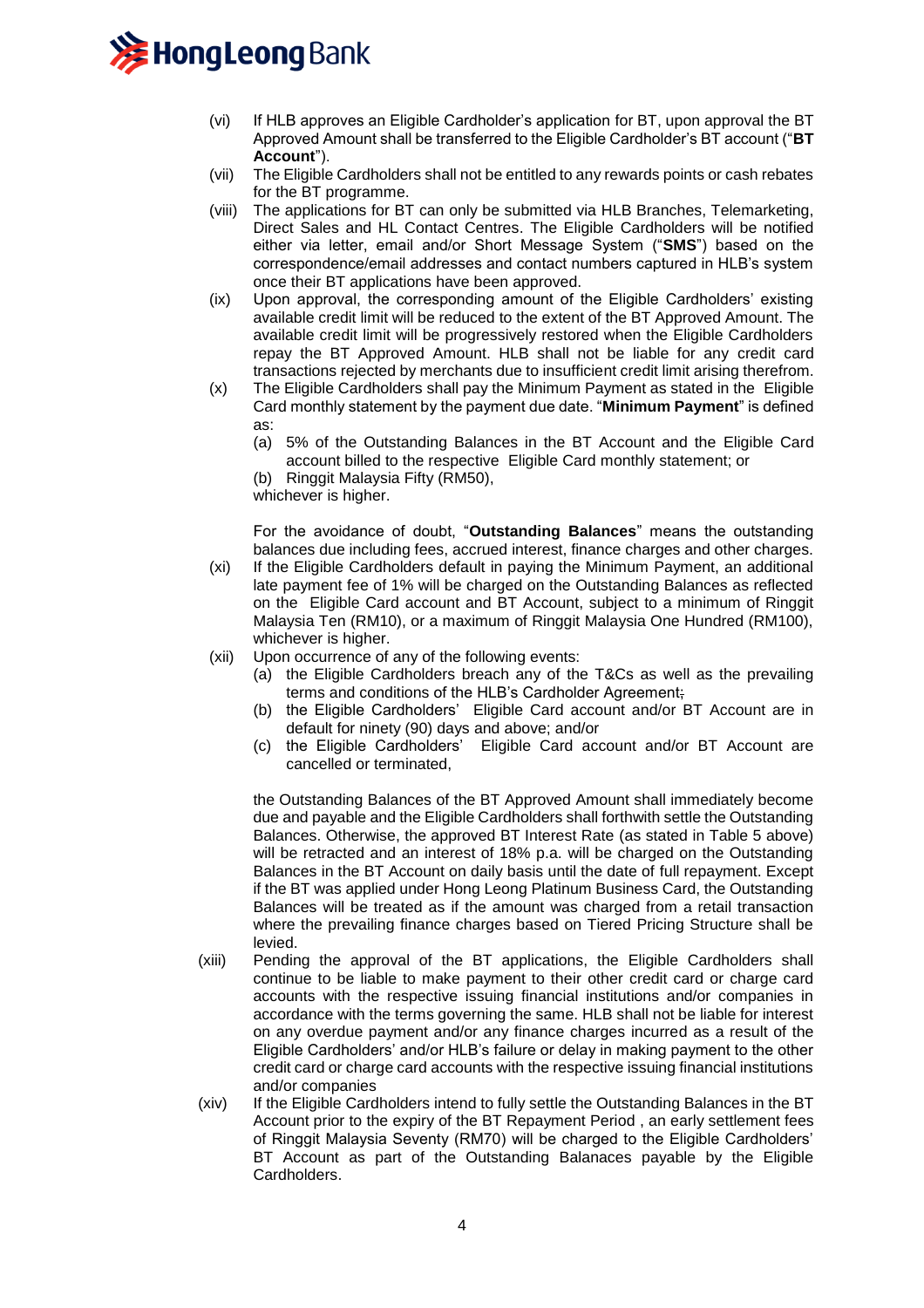

- (vi) If HLB approves an Eligible Cardholder's application for BT, upon approval the BT Approved Amount shall be transferred to the Eligible Cardholder's BT account ("**BT Account**").
- (vii) The Eligible Cardholders shall not be entitled to any rewards points or cash rebates for the BT programme.
- (viii) The applications for BT can only be submitted via HLB Branches, Telemarketing, Direct Sales and HL Contact Centres. The Eligible Cardholders will be notified either via letter, email and/or Short Message System ("**SMS**") based on the correspondence/email addresses and contact numbers captured in HLB's system once their BT applications have been approved.
- (ix) Upon approval, the corresponding amount of the Eligible Cardholders' existing available credit limit will be reduced to the extent of the BT Approved Amount. The available credit limit will be progressively restored when the Eligible Cardholders repay the BT Approved Amount. HLB shall not be liable for any credit card transactions rejected by merchants due to insufficient credit limit arising therefrom.
- (x) The Eligible Cardholders shall pay the Minimum Payment as stated in the Eligible Card monthly statement by the payment due date. "**Minimum Payment**" is defined as:
	- (a) 5% of the Outstanding Balances in the BT Account and the Eligible Card account billed to the respective Eligible Card monthly statement; or
	- (b) Ringgit Malaysia Fifty (RM50),

whichever is higher.

For the avoidance of doubt, "**Outstanding Balances**" means the outstanding balances due including fees, accrued interest, finance charges and other charges.

- (xi) If the Eligible Cardholders default in paying the Minimum Payment, an additional late payment fee of 1% will be charged on the Outstanding Balances as reflected on the Eligible Card account and BT Account, subject to a minimum of Ringgit Malaysia Ten (RM10), or a maximum of Ringgit Malaysia One Hundred (RM100), whichever is higher.
- (xii) Upon occurrence of any of the following events:
	- (a) the Eligible Cardholders breach any of the T&Cs as well as the prevailing terms and conditions of the HLB's Cardholder Agreement;
	- (b) the Eligible Cardholders' Eligible Card account and/or BT Account are in default for ninety (90) days and above; and/or
	- (c) the Eligible Cardholders' Eligible Card account and/or BT Account are cancelled or terminated,

the Outstanding Balances of the BT Approved Amount shall immediately become due and payable and the Eligible Cardholders shall forthwith settle the Outstanding Balances. Otherwise, the approved BT Interest Rate (as stated in Table 5 above) will be retracted and an interest of 18% p.a. will be charged on the Outstanding Balances in the BT Account on daily basis until the date of full repayment. Except if the BT was applied under Hong Leong Platinum Business Card, the Outstanding Balances will be treated as if the amount was charged from a retail transaction where the prevailing finance charges based on Tiered Pricing Structure shall be levied.

- (xiii) Pending the approval of the BT applications, the Eligible Cardholders shall continue to be liable to make payment to their other credit card or charge card accounts with the respective issuing financial institutions and/or companies in accordance with the terms governing the same. HLB shall not be liable for interest on any overdue payment and/or any finance charges incurred as a result of the Eligible Cardholders' and/or HLB's failure or delay in making payment to the other credit card or charge card accounts with the respective issuing financial institutions and/or companies
- (xiv) If the Eligible Cardholders intend to fully settle the Outstanding Balances in the BT Account prior to the expiry of the BT Repayment Period , an early settlement fees of Ringgit Malaysia Seventy (RM70) will be charged to the Eligible Cardholders' BT Account as part of the Outstanding Balanaces payable by the Eligible Cardholders.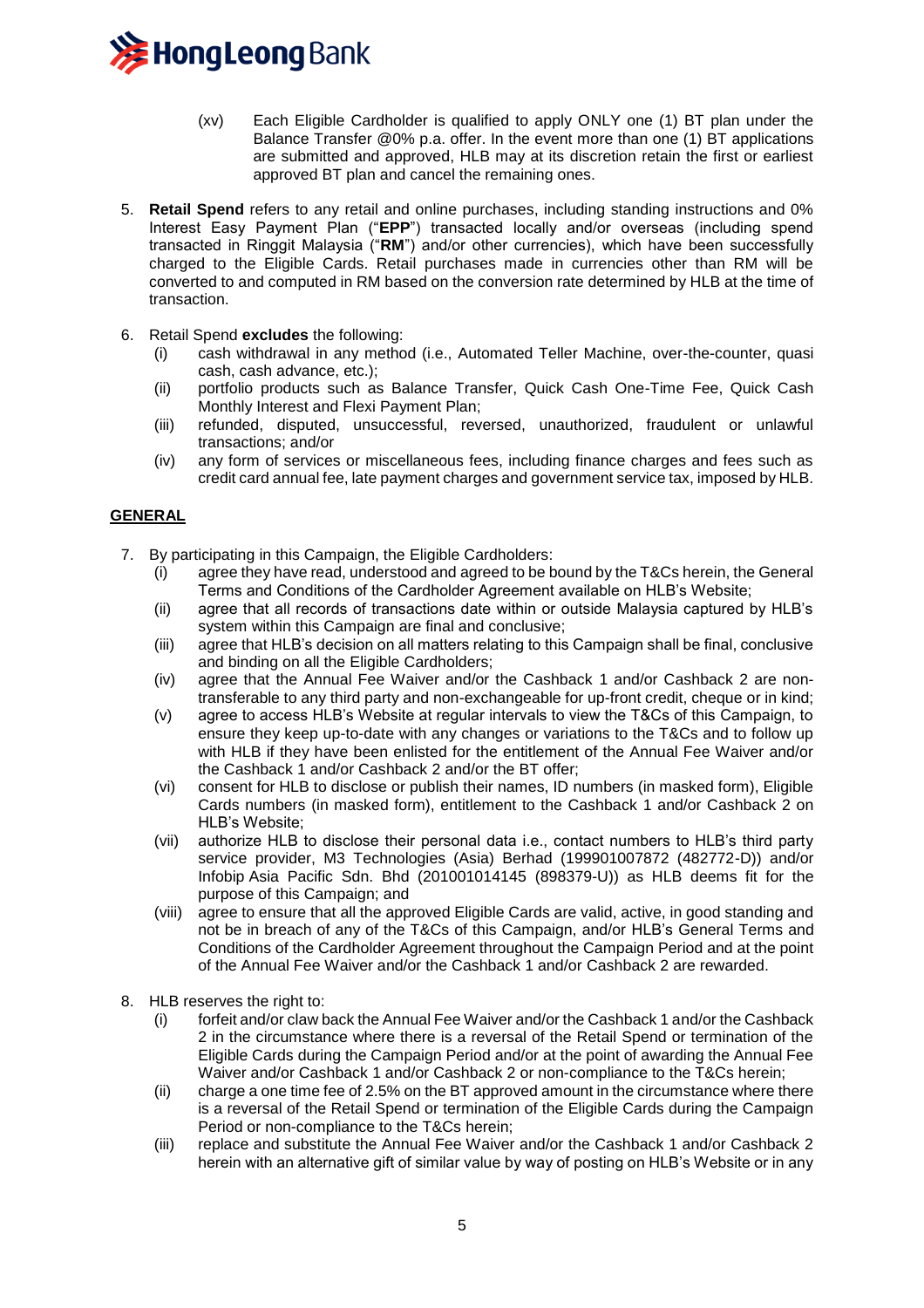

- (xv) Each Eligible Cardholder is qualified to apply ONLY one (1) BT plan under the Balance Transfer @0% p.a. offer. In the event more than one (1) BT applications are submitted and approved, HLB may at its discretion retain the first or earliest approved BT plan and cancel the remaining ones.
- 5. **Retail Spend** refers to any retail and online purchases, including standing instructions and 0% Interest Easy Payment Plan ("**EPP**") transacted locally and/or overseas (including spend transacted in Ringgit Malaysia ("**RM**") and/or other currencies), which have been successfully charged to the Eligible Cards. Retail purchases made in currencies other than RM will be converted to and computed in RM based on the conversion rate determined by HLB at the time of transaction.
- 6. Retail Spend **excludes** the following:
	- (i) cash withdrawal in any method (i.e., Automated Teller Machine, over-the-counter, quasi cash, cash advance, etc.);
	- (ii) portfolio products such as Balance Transfer, Quick Cash One-Time Fee, Quick Cash Monthly Interest and Flexi Payment Plan;
	- (iii) refunded, disputed, unsuccessful, reversed, unauthorized, fraudulent or unlawful transactions; and/or
	- (iv) any form of services or miscellaneous fees, including finance charges and fees such as credit card annual fee, late payment charges and government service tax, imposed by HLB.

# **GENERAL**

- 7. By participating in this Campaign, the Eligible Cardholders:
	- (i) agree they have read, understood and agreed to be bound by the T&Cs herein, the General Terms and Conditions of the Cardholder Agreement available on HLB's Website;
	- (ii) agree that all records of transactions date within or outside Malaysia captured by HLB's system within this Campaign are final and conclusive;
	- (iii) agree that HLB's decision on all matters relating to this Campaign shall be final, conclusive and binding on all the Eligible Cardholders;
	- (iv) agree that the Annual Fee Waiver and/or the Cashback 1 and/or Cashback 2 are nontransferable to any third party and non-exchangeable for up-front credit, cheque or in kind;
	- (v) agree to access HLB's Website at regular intervals to view the T&Cs of this Campaign, to ensure they keep up-to-date with any changes or variations to the T&Cs and to follow up with HLB if they have been enlisted for the entitlement of the Annual Fee Waiver and/or the Cashback 1 and/or Cashback 2 and/or the BT offer;
	- (vi) consent for HLB to disclose or publish their names, ID numbers (in masked form), Eligible Cards numbers (in masked form), entitlement to the Cashback 1 and/or Cashback 2 on HLB's Website;
	- (vii) authorize HLB to disclose their personal data i.e., contact numbers to HLB's third party service provider, M3 Technologies (Asia) Berhad (199901007872 (482772-D)) and/or Infobip Asia Pacific Sdn. Bhd (201001014145 (898379-U)) as HLB deems fit for the purpose of this Campaign; and
	- (viii) agree to ensure that all the approved Eligible Cards are valid, active, in good standing and not be in breach of any of the T&Cs of this Campaign, and/or HLB's General Terms and Conditions of the Cardholder Agreement throughout the Campaign Period and at the point of the Annual Fee Waiver and/or the Cashback 1 and/or Cashback 2 are rewarded.
- 8. HLB reserves the right to:
	- (i) forfeit and/or claw back the Annual Fee Waiver and/or the Cashback 1 and/or the Cashback 2 in the circumstance where there is a reversal of the Retail Spend or termination of the Eligible Cards during the Campaign Period and/or at the point of awarding the Annual Fee Waiver and/or Cashback 1 and/or Cashback 2 or non-compliance to the T&Cs herein;
	- (ii) charge a one time fee of 2.5% on the BT approved amount in the circumstance where there is a reversal of the Retail Spend or termination of the Eligible Cards during the Campaign Period or non-compliance to the T&Cs herein;
	- (iii) replace and substitute the Annual Fee Waiver and/or the Cashback 1 and/or Cashback 2 herein with an alternative gift of similar value by way of posting on HLB's Website or in any